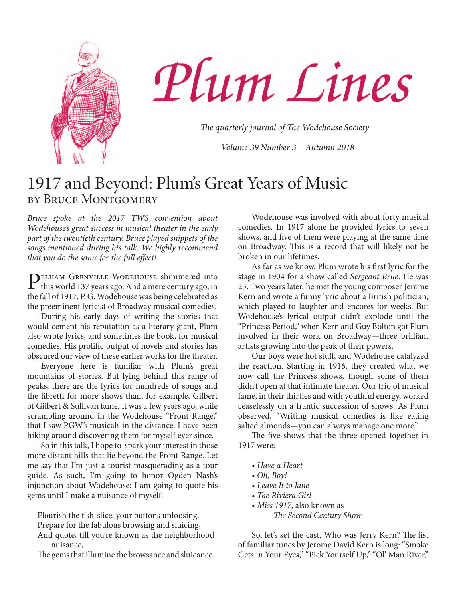

Plum Lines

*The quarterly journal of The Wodehouse Society*

*Volume 39 Number 3 Autumn 2018*

### 1917 and Beyond: Plum's Great Years of Music by Bruce Montgomery

*Bruce spoke at the 2017 TWS convention about Wodehouse's great success in musical theater in the early part of the twentieth century. Bruce played snippets of the songs mentioned during his talk. We highly recommend that you do the same for the full effect!*

PELHAM GRENVILLE WODEHOUSE shimmered into<br>this world 137 years ago. And a mere century ago, in the fall of 1917, P. G. Wodehouse was being celebrated as the preeminent lyricist of Broadway musical comedies.

During his early days of writing the stories that would cement his reputation as a literary giant, Plum also wrote lyrics, and sometimes the book, for musical comedies. His prolific output of novels and stories has obscured our view of these earlier works for the theater.

Everyone here is familiar with Plum's great mountains of stories. But lying behind this range of peaks, there are the lyrics for hundreds of songs and the libretti for more shows than, for example, Gilbert of Gilbert & Sullivan fame. It was a few years ago, while scrambling around in the Wodehouse "Front Range," that I saw PGW's musicals in the distance. I have been hiking around discovering them for myself ever since.

So in this talk, I hope to spark your interest in those more distant hills that lie beyond the Front Range. Let me say that I'm just a tourist masquerading as a tour guide. As such, I'm going to honor Ogden Nash's injunction about Wodehouse: I am going to quote his gems until I make a nuisance of myself:

Flourish the fish-slice, your buttons unloosing,

Prepare for the fabulous browsing and sluicing,

And quote, till you're known as the neighborhood nuisance,

The gems that illumine the browsance and sluicance.

Wodehouse was involved with about forty musical comedies. In 1917 alone he provided lyrics to seven shows, and five of them were playing at the same time on Broadway. This is a record that will likely not be broken in our lifetimes.

As far as we know, Plum wrote his first lyric for the stage in 1904 for a show called *Sergeant Brue*. He was 23. Two years later, he met the young composer Jerome Kern and wrote a funny lyric about a British politician, which played to laughter and encores for weeks. But Wodehouse's lyrical output didn't explode until the "Princess Period," when Kern and Guy Bolton got Plum involved in their work on Broadway—three brilliant artists growing into the peak of their powers.

Our boys were hot stuff, and Wodehouse catalyzed the reaction. Starting in 1916, they created what we now call the Princess shows, though some of them didn't open at that intimate theater. Our trio of musical fame, in their thirties and with youthful energy, worked ceaselessly on a frantic succession of shows. As Plum observed, "Writing musical comedies is like eating salted almonds—you can always manage one more."

The five shows that the three opened together in 1917 were:

- *Have a Heart*
- *Oh, Boy!*
- *Leave It to Jane*
- *The Riviera Girl*
- *Miss 1917*, also known as
	- *The Second Century Show*

So, let's set the cast. Who was Jerry Kern? The list of familiar tunes by Jerome David Kern is long: "Smoke Gets in Your Eyes," "Pick Yourself Up," "Ol' Man River,"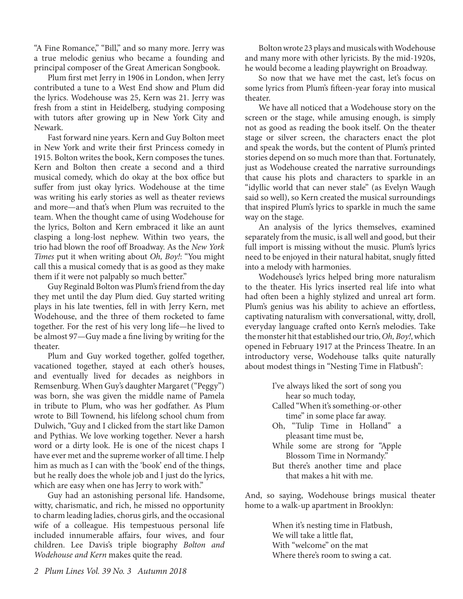"A Fine Romance," "Bill," and so many more. Jerry was a true melodic genius who became a founding and principal composer of the Great American Songbook.

Plum first met Jerry in 1906 in London, when Jerry contributed a tune to a West End show and Plum did the lyrics. Wodehouse was 25, Kern was 21. Jerry was fresh from a stint in Heidelberg, studying composing with tutors after growing up in New York City and Newark.

Fast forward nine years. Kern and Guy Bolton meet in New York and write their first Princess comedy in 1915. Bolton writes the book, Kern composes the tunes. Kern and Bolton then create a second and a third musical comedy, which do okay at the box office but suffer from just okay lyrics. Wodehouse at the time was writing his early stories as well as theater reviews and more—and that's when Plum was recruited to the team. When the thought came of using Wodehouse for the lyrics, Bolton and Kern embraced it like an aunt clasping a long-lost nephew. Within two years, the trio had blown the roof off Broadway. As the *New York Times* put it when writing about *Oh, Boy!*: "You might call this a musical comedy that is as good as they make them if it were not palpably so much better."

Guy Reginald Bolton was Plum's friend from the day they met until the day Plum died. Guy started writing plays in his late twenties, fell in with Jerry Kern, met Wodehouse, and the three of them rocketed to fame together. For the rest of his very long life—he lived to be almost 97—Guy made a fine living by writing for the theater.

Plum and Guy worked together, golfed together, vacationed together, stayed at each other's houses, and eventually lived for decades as neighbors in Remsenburg. When Guy's daughter Margaret ("Peggy") was born, she was given the middle name of Pamela in tribute to Plum, who was her godfather. As Plum wrote to Bill Townend, his lifelong school chum from Dulwich, "Guy and I clicked from the start like Damon and Pythias. We love working together. Never a harsh word or a dirty look. He is one of the nicest chaps I have ever met and the supreme worker of all time. I help him as much as I can with the 'book' end of the things, but he really does the whole job and I just do the lyrics, which are easy when one has Jerry to work with."

Guy had an astonishing personal life. Handsome, witty, charismatic, and rich, he missed no opportunity to charm leading ladies, chorus girls, and the occasional wife of a colleague. His tempestuous personal life included innumerable affairs, four wives, and four children. Lee Davis's triple biography *Bolton and Wodehouse and Kern* makes quite the read.

Bolton wrote 23 plays and musicals with Wodehouse and many more with other lyricists. By the mid-1920s, he would become a leading playwright on Broadway.

So now that we have met the cast, let's focus on some lyrics from Plum's fifteen-year foray into musical theater.

We have all noticed that a Wodehouse story on the screen or the stage, while amusing enough, is simply not as good as reading the book itself. On the theater stage or silver screen, the characters enact the plot and speak the words, but the content of Plum's printed stories depend on so much more than that. Fortunately, just as Wodehouse created the narrative surroundings that cause his plots and characters to sparkle in an "idyllic world that can never stale" (as Evelyn Waugh said so well), so Kern created the musical surroundings that inspired Plum's lyrics to sparkle in much the same way on the stage.

An analysis of the lyrics themselves, examined separately from the music, is all well and good, but their full import is missing without the music. Plum's lyrics need to be enjoyed in their natural habitat, snugly fitted into a melody with harmonies.

Wodehouse's lyrics helped bring more naturalism to the theater. His lyrics inserted real life into what had often been a highly stylized and unreal art form. Plum's genius was his ability to achieve an effortless, captivating naturalism with conversational, witty, droll, everyday language crafted onto Kern's melodies. Take the monster hit that established our trio, *Oh, Boy!*, which opened in February 1917 at the Princess Theatre. In an introductory verse, Wodehouse talks quite naturally about modest things in "Nesting Time in Flatbush":

> I've always liked the sort of song you hear so much today, Called "When it's something-or-other time" in some place far away. Oh, "Tulip Time in Holland" a pleasant time must be, While some are strong for "Apple Blossom Time in Normandy." But there's another time and place

that makes a hit with me.

And, so saying, Wodehouse brings musical theater home to a walk-up apartment in Brooklyn:

> When it's nesting time in Flatbush, We will take a little flat, With "welcome" on the mat Where there's room to swing a cat.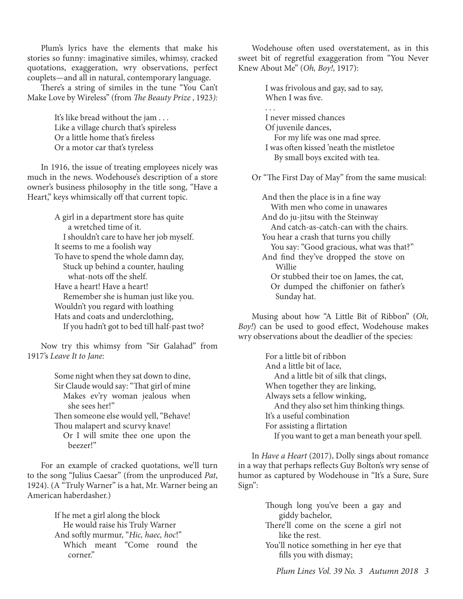Plum's lyrics have the elements that make his stories so funny: imaginative similes, whimsy, cracked quotations, exaggeration, wry observations, perfect couplets—and all in natural, contemporary language.

There's a string of similes in the tune "You Can't Make Love by Wireless" (from *The Beauty Prize* , 1923*):*

> It's like bread without the jam . . . Like a village church that's spireless Or a little home that's fireless Or a motor car that's tyreless

In 1916, the issue of treating employees nicely was much in the news. Wodehouse's description of a store owner's business philosophy in the title song, "Have a Heart," keys whimsically off that current topic.

> A girl in a department store has quite a wretched time of it. I shouldn't care to have her job myself. It seems to me a foolish way To have to spend the whole damn day, Stuck up behind a counter, hauling what-nots off the shelf. Have a heart! Have a heart! Remember she is human just like you. Wouldn't you regard with loathing Hats and coats and underclothing, If you hadn't got to bed till half-past two?

Now try this whimsy from "Sir Galahad" from 1917's *Leave It to Jane*:

> Some night when they sat down to dine, Sir Claude would say: "That girl of mine Makes ev'ry woman jealous when she sees her!" Then someone else would yell, "Behave! Thou malapert and scurvy knave! Or I will smite thee one upon the

beezer!"

For an example of cracked quotations, we'll turn to the song "Julius Caesar" (from the unproduced *Pat*, 1924). (A "Truly Warner" is a hat, Mr. Warner being an American haberdasher.)

> If he met a girl along the block He would raise his Truly Warner And softly murmur, "*Hic, haec, hoc*!" Which meant "Come round the corner."

Wodehouse often used overstatement, as in this sweet bit of regretful exaggeration from "You Never Knew About Me" (*Oh, Boy!*, 1917):

> I was frivolous and gay, sad to say, When I was five.

. . .

I never missed chances Of juvenile dances, For my life was one mad spree. I was often kissed 'neath the mistletoe

By small boys excited with tea.

Or "The First Day of May" from the same musical:

And then the place is in a fine way With men who come in unawares And do ju-jitsu with the Steinway And catch-as-catch-can with the chairs. You hear a crash that turns you chilly You say: "Good gracious, what was that?" And find they've dropped the stove on Willie Or stubbed their toe on James, the cat, Or dumped the chiffonier on father's Sunday hat.

Musing about how "A Little Bit of Ribbon" (*Oh, Boy!*) can be used to good effect, Wodehouse makes wry observations about the deadlier of the species:

> For a little bit of ribbon And a little bit of lace, And a little bit of silk that clings, When together they are linking, Always sets a fellow winking, And they also set him thinking things. It's a useful combination For assisting a flirtation If you want to get a man beneath your spell.

In *Have a Heart* (2017), Dolly sings about romance in a way that perhaps reflects Guy Bolton's wry sense of humor as captured by Wodehouse in "It's a Sure, Sure Sign":

> Though long you've been a gay and giddy bachelor,

> There'll come on the scene a girl not like the rest.

> You'll notice something in her eye that fills you with dismay;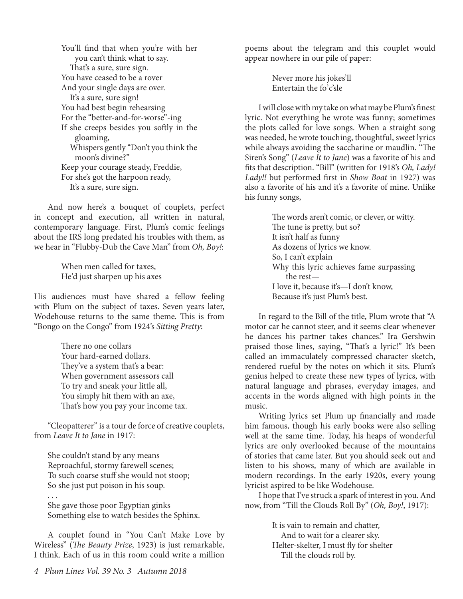You'll find that when you're with her you can't think what to say. That's a sure, sure sign. You have ceased to be a rover And your single days are over. It's a sure, sure sign! You had best begin rehearsing For the "better-and-for-worse"-ing If she creeps besides you softly in the gloaming, Whispers gently "Don't you think the moon's divine?" Keep your courage steady, Freddie, For she's got the harpoon ready, It's a sure, sure sign.

And now here's a bouquet of couplets, perfect in concept and execution, all written in natural, contemporary language. First, Plum's comic feelings about the IRS long predated his troubles with them, as we hear in "Flubby-Dub the Cave Man" from *Oh, Boy!*:

> When men called for taxes, He'd just sharpen up his axes

His audiences must have shared a fellow feeling with Plum on the subject of taxes. Seven years later, Wodehouse returns to the same theme. This is from "Bongo on the Congo" from 1924's *Sitting Pretty*:

> There no one collars Your hard-earned dollars. They've a system that's a bear: When government assessors call To try and sneak your little all, You simply hit them with an axe, That's how you pay your income tax.

"Cleopatterer" is a tour de force of creative couplets, from *Leave It to Jane* in 1917:

She couldn't stand by any means Reproachful, stormy farewell scenes; To such coarse stuff she would not stoop; So she just put poison in his soup.

. . .

She gave those poor Egyptian ginks Something else to watch besides the Sphinx.

A couplet found in "You Can't Make Love by Wireless" (*The Beauty Prize*, 1923) is just remarkable, I think. Each of us in this room could write a million

poems about the telegram and this couplet would appear nowhere in our pile of paper:

> Never more his jokes'll Entertain the fo'c'sle

I will close with my take on what may be Plum's finest lyric. Not everything he wrote was funny; sometimes the plots called for love songs. When a straight song was needed, he wrote touching, thoughtful, sweet lyrics while always avoiding the saccharine or maudlin. "The Siren's Song" (*Leave It to Jane*) was a favorite of his and fits that description. "Bill" (written for 1918's *Oh, Lady! Lady!!* but performed first in *Show Boat* in 1927) was also a favorite of his and it's a favorite of mine. Unlike his funny songs,

> The words aren't comic, or clever, or witty. The tune is pretty, but so? It isn't half as funny As dozens of lyrics we know. So, I can't explain Why this lyric achieves fame surpassing the rest— I love it, because it's—I don't know, Because it's just Plum's best.

In regard to the Bill of the title, Plum wrote that "A motor car he cannot steer, and it seems clear whenever he dances his partner takes chances." Ira Gershwin praised those lines, saying, "That's a lyric!" It's been called an immaculately compressed character sketch, rendered rueful by the notes on which it sits. Plum's genius helped to create these new types of lyrics, with natural language and phrases, everyday images, and accents in the words aligned with high points in the music.

Writing lyrics set Plum up financially and made him famous, though his early books were also selling well at the same time. Today, his heaps of wonderful lyrics are only overlooked because of the mountains of stories that came later. But you should seek out and listen to his shows, many of which are available in modern recordings. In the early 1920s, every young lyricist aspired to be like Wodehouse.

I hope that I've struck a spark of interest in you. And now, from "Till the Clouds Roll By" (*Oh, Boy!*, 1917):

> It is vain to remain and chatter, And to wait for a clearer sky. Helter-skelter, I must fly for shelter Till the clouds roll by.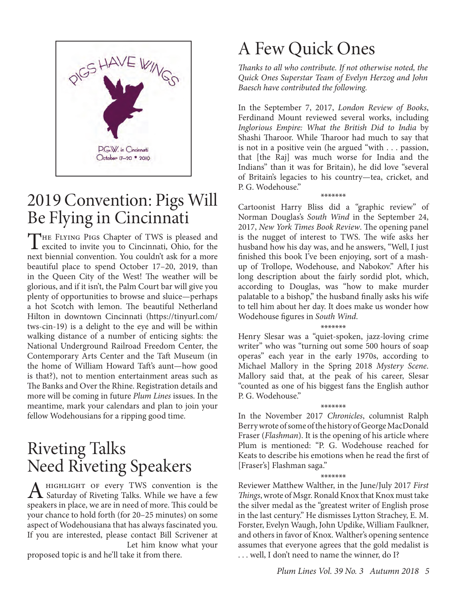

## 2019 Convention: Pigs Will Be Flying in Cincinnati

THE FLYING PIGS Chapter of TWS is pleased and excited to invite you to Cincinnati, Ohio, for the next biennial convention. You couldn't ask for a more beautiful place to spend October 17–20, 2019, than in the Queen City of the West! The weather will be glorious, and if it isn't, the Palm Court bar will give you plenty of opportunities to browse and sluice—perhaps a hot Scotch with lemon. The beautiful Netherland Hilton in downtown Cincinnati (https://tinyurl.com/ tws-cin-19) is a delight to the eye and will be within walking distance of a number of enticing sights: the National Underground Railroad Freedom Center, the Contemporary Arts Center and the Taft Museum (in the home of William Howard Taft's aunt—how good is that?), not to mention entertainment areas such as The Banks and Over the Rhine. Registration details and more will be coming in future *Plum Lines* issues. In the meantime, mark your calendars and plan to join your fellow Wodehousians for a ripping good time.

## Riveting Talks Need Riveting Speakers

A HIGHLIGHT OF every TWS convention is the<br>Saturday of Riveting Talks. While we have a few speakers in place, we are in need of more. This could be your chance to hold forth (for 20–25 minutes) on some aspect of Wodehousiana that has always fascinated you. If you are interested, please contact Bill Scrivener at Let him know what your

proposed topic is and he'll take it from there.

# A Few Quick Ones

*Thanks to all who contribute. If not otherwise noted, the Quick Ones Superstar Team of Evelyn Herzog and John Baesch have contributed the following.* 

In the September 7, 2017, *London Review of Books*, Ferdinand Mount reviewed several works, including *Inglorious Empire: What the British Did to India* by Shashi Tharoor. While Tharoor had much to say that is not in a positive vein (he argued "with . . . passion, that [the Raj] was much worse for India and the Indians" than it was for Britain), he did love "several of Britain's legacies to his country—tea, cricket, and P. G. Wodehouse."

\*\*\*\*\*\*\*

Cartoonist Harry Bliss did a "graphic review" of Norman Douglas's *South Wind* in the September 24, 2017, *New York Times Book Review*. The opening panel is the nugget of interest to TWS. The wife asks her husband how his day was, and he answers, "Well, I just finished this book I've been enjoying, sort of a mashup of Trollope, Wodehouse, and Nabokov." After his long description about the fairly sordid plot, which, according to Douglas, was "how to make murder palatable to a bishop," the husband finally asks his wife to tell him about her day. It does make us wonder how Wodehouse figures in *South Wind*.

\*\*\*\*\*\*\*<br>Henry Slesar was a "quiet-spoken, jazz-loving crime writer" who was "turning out some 500 hours of soap operas" each year in the early 1970s, according to Michael Mallory in the Spring 2018 *Mystery Scene*. Mallory said that, at the peak of his career, Slesar "counted as one of his biggest fans the English author P. G. Wodehouse."

\*\*\*\*\*\*\* In the November 2017 *Chronicles*, columnist Ralph Berry wrote of some of the history of George MacDonald Fraser (*Flashman*). It is the opening of his article where Plum is mentioned: "P. G. Wodehouse reached for Keats to describe his emotions when he read the first of [Fraser's] Flashman saga."

\*\*\*\*\*\*\* Reviewer Matthew Walther, in the June/July 2017 *First Things*, wrote of Msgr. Ronald Knox that Knox must take the silver medal as the "greatest writer of English prose in the last century." He dismisses Lytton Strachey, E. M. Forster, Evelyn Waugh, John Updike, William Faulkner, and others in favor of Knox. Walther's opening sentence assumes that everyone agrees that the gold medalist is . . . well, I don't need to name the winner, do I?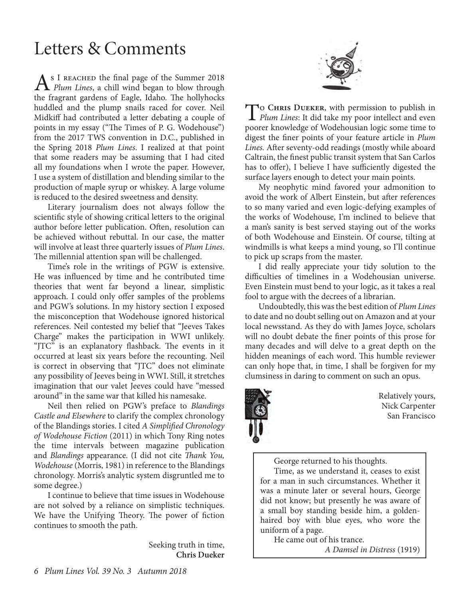# Letters & Comments

As I REACHED the final page of the Summer 2018<br>*Plum Lines*, a chill wind began to blow through the fragrant gardens of Eagle, Idaho. The hollyhocks huddled and the plump snails raced for cover. Neil Midkiff had contributed a letter debating a couple of points in my essay ("The Times of P. G. Wodehouse") from the 2017 TWS convention in D.C., published in the Spring 2018 *Plum Lines*. I realized at that point that some readers may be assuming that I had cited all my foundations when I wrote the paper. However, I use a system of distillation and blending similar to the production of maple syrup or whiskey. A large volume is reduced to the desired sweetness and density.

Literary journalism does not always follow the scientific style of showing critical letters to the original author before letter publication. Often, resolution can be achieved without rebuttal. In our case, the matter will involve at least three quarterly issues of *Plum Lines*. The millennial attention span will be challenged.

Time's role in the writings of PGW is extensive. He was influenced by time and he contributed time theories that went far beyond a linear, simplistic approach. I could only offer samples of the problems and PGW's solutions. In my history section I exposed the misconception that Wodehouse ignored historical references. Neil contested my belief that "Jeeves Takes Charge" makes the participation in WWI unlikely. "JTC" is an explanatory flashback. The events in it occurred at least six years before the recounting. Neil is correct in observing that "JTC" does not eliminate any possibility of Jeeves being in WWI. Still, it stretches imagination that our valet Jeeves could have "messed around" in the same war that killed his namesake.

Neil then relied on PGW's preface to *Blandings Castle and Elsewhere* to clarify the complex chronology of the Blandings stories. I cited *A Simplified Chronology of Wodehouse Fiction* (2011) in which Tony Ring notes the time intervals between magazine publication and *Blandings* appearance. (I did not cite *Thank You, Wodehouse* (Morris, 1981) in reference to the Blandings chronology. Morris's analytic system disgruntled me to some degree.)

I continue to believe that time issues in Wodehouse are not solved by a reliance on simplistic techniques. We have the Unifying Theory. The power of fiction continues to smooth the path.

> Seeking truth in time, **Chris Dueker**



To **Chris Dueker**, with permission to publish in *Plum Lines*: It did take my poor intellect and even poorer knowledge of Wodehousian logic some time to digest the finer points of your feature article in *Plum Lines.* After seventy-odd readings (mostly while aboard Caltrain, the finest public transit system that San Carlos has to offer), I believe I have sufficiently digested the surface layers enough to detect your main points.

My neophytic mind favored your admonition to avoid the work of Albert Einstein, but after references to so many varied and even logic-defying examples of the works of Wodehouse, I'm inclined to believe that a man's sanity is best served staying out of the works of both Wodehouse and Einstein. Of course, tilting at windmills is what keeps a mind young, so I'll continue to pick up scraps from the master.

I did really appreciate your tidy solution to the difficulties of timelines in a Wodehousian universe. Even Einstein must bend to your logic, as it takes a real fool to argue with the decrees of a librarian.

Undoubtedly, this was the best edition of *Plum Lines* to date and no doubt selling out on Amazon and at your local newsstand. As they do with James Joyce, scholars will no doubt debate the finer points of this prose for many decades and will delve to a great depth on the hidden meanings of each word. This humble reviewer can only hope that, in time, I shall be forgiven for my clumsiness in daring to comment on such an opus.



Relatively yours, Nick Carpenter San Francisco

George returned to his thoughts.

Time, as we understand it, ceases to exist for a man in such circumstances. Whether it was a minute later or several hours, George did not know; but presently he was aware of a small boy standing beside him, a goldenhaired boy with blue eyes, who wore the uniform of a page.

He came out of his trance.

*A Damsel in Distress* (1919)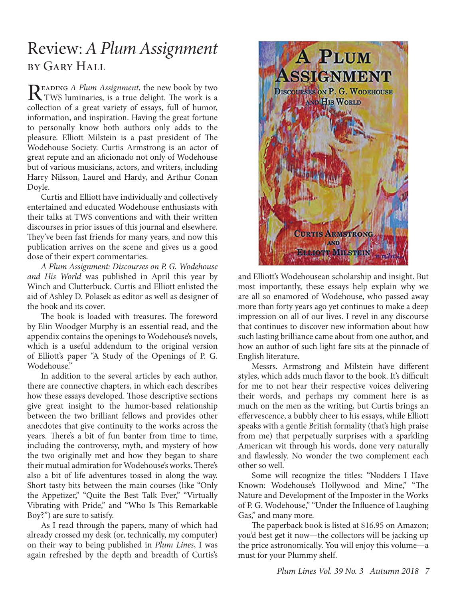### Review: *A Plum Assignment* by Gary Hall

READING *A Plum Assignment*, the new book by two<br>TWS luminaries, is a true delight. The work is a<br>and the structure of summer full of human collection of a great variety of essays, full of humor, information, and inspiration. Having the great fortune to personally know both authors only adds to the pleasure. Elliott Milstein is a past president of The Wodehouse Society. Curtis Armstrong is an actor of great repute and an aficionado not only of Wodehouse but of various musicians, actors, and writers, including Harry Nilsson, Laurel and Hardy, and Arthur Conan Doyle.

Curtis and Elliott have individually and collectively entertained and educated Wodehouse enthusiasts with their talks at TWS conventions and with their written discourses in prior issues of this journal and elsewhere. They've been fast friends for many years, and now this publication arrives on the scene and gives us a good dose of their expert commentaries.

*A Plum Assignment: Discourses on P. G. Wodehouse and His World* was published in April this year by Winch and Clutterbuck. Curtis and Elliott enlisted the aid of Ashley D. Polasek as editor as well as designer of the book and its cover.

The book is loaded with treasures. The foreword by Elin Woodger Murphy is an essential read, and the appendix contains the openings to Wodehouse's novels, which is a useful addendum to the original version of Elliott's paper "A Study of the Openings of P. G. Wodehouse"

In addition to the several articles by each author, there are connective chapters, in which each describes how these essays developed. Those descriptive sections give great insight to the humor-based relationship between the two brilliant fellows and provides other anecdotes that give continuity to the works across the years. There's a bit of fun banter from time to time, including the controversy, myth, and mystery of how the two originally met and how they began to share their mutual admiration for Wodehouse's works. There's also a bit of life adventures tossed in along the way. Short tasty bits between the main courses (like "Only the Appetizer," "Quite the Best Talk Ever," "Virtually Vibrating with Pride," and "Who Is This Remarkable Boy?") are sure to satisfy.

As I read through the papers, many of which had already crossed my desk (or, technically, my computer) on their way to being published in *Plum Lines*, I was again refreshed by the depth and breadth of Curtis's



and Elliott's Wodehousean scholarship and insight. But most importantly, these essays help explain why we are all so enamored of Wodehouse, who passed away more than forty years ago yet continues to make a deep impression on all of our lives. I revel in any discourse that continues to discover new information about how such lasting brilliance came about from one author, and how an author of such light fare sits at the pinnacle of English literature.

Messrs. Armstrong and Milstein have different styles, which adds much flavor to the book. It's difficult for me to not hear their respective voices delivering their words, and perhaps my comment here is as much on the men as the writing, but Curtis brings an effervescence, a bubbly cheer to his essays, while Elliott speaks with a gentle British formality (that's high praise from me) that perpetually surprises with a sparkling American wit through his words, done very naturally and flawlessly. No wonder the two complement each other so well.

Some will recognize the titles: "Nodders I Have Known: Wodehouse's Hollywood and Mine," "The Nature and Development of the Imposter in the Works of P. G. Wodehouse," "Under the Influence of Laughing Gas," and many more.

The paperback book is listed at \$16.95 on Amazon; you'd best get it now—the collectors will be jacking up the price astronomically. You will enjoy this volume—a must for your Plummy shelf.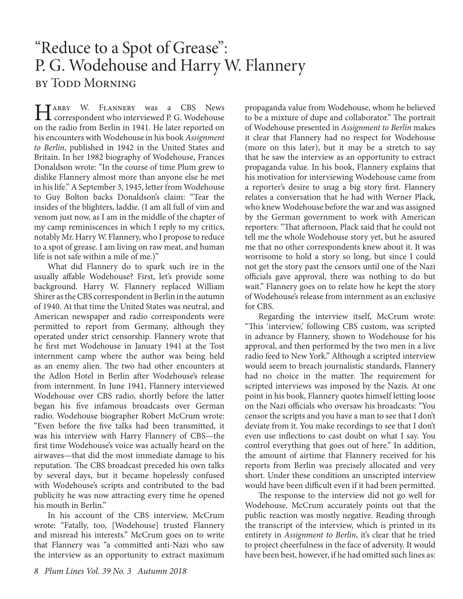### "Reduce to a Spot of Grease": P. G. Wodehouse and Harry W. Flannery by Todd Morning

Harry W. FLANNERY was a CBS News<br>
correspondent who interviewed P. G. Wodehouse on the radio from Berlin in 1941. He later reported on his encounters with Wodehouse in his book *Assignment to Berlin*, published in 1942 in the United States and Britain. In her 1982 biography of Wodehouse, Frances Donaldson wrote: "In the course of time Plum grew to dislike Flannery almost more than anyone else he met in his life." A September 3, 1945, letter from Wodehouse to Guy Bolton backs Donaldson's claim: "Tear the insides of the blighters, laddie. (I am all full of vim and venom just now, as I am in the middle of the chapter of my camp reminiscences in which I reply to my critics, notably Mr. Harry W. Flannery, who I propose to reduce to a spot of grease. I am living on raw meat, and human life is not safe within a mile of me.)"

What did Flannery do to spark such ire in the usually affable Wodehouse? First, let's provide some background. Harry W. Flannery replaced William Shirer as the CBS correspondent in Berlin in the autumn of 1940. At that time the United States was neutral, and American newspaper and radio correspondents were permitted to report from Germany, although they operated under strict censorship. Flannery wrote that he first met Wodehouse in January 1941 at the Tost internment camp where the author was being held as an enemy alien. The two had other encounters at the Adlon Hotel in Berlin after Wodehouse's release from internment. In June 1941, Flannery interviewed Wodehouse over CBS radio, shortly before the latter began his five infamous broadcasts over German radio. Wodehouse biographer Robert McCrum wrote: "Even before the five talks had been transmitted, it was his interview with Harry Flannery of CBS—the first time Wodehouse's voice was actually heard on the airwaves—that did the most immediate damage to his reputation. The CBS broadcast preceded his own talks by several days, but it became hopelessly confused with Wodehouse's scripts and contributed to the bad publicity he was now attracting every time he opened his mouth in Berlin."

In his account of the CBS interview, McCrum wrote: "Fatally, too, [Wodehouse] trusted Flannery and misread his interests." McCrum goes on to write that Flannery was "a committed anti-Nazi who saw the interview as an opportunity to extract maximum

propaganda value from Wodehouse, whom he believed to be a mixture of dupe and collaborator." The portrait of Wodehouse presented in *Assignment to Berlin* makes it clear that Flannery had no respect for Wodehouse (more on this later), but it may be a stretch to say that he saw the interview as an opportunity to extract propaganda value. In his book, Flannery explains that his motivation for interviewing Wodehouse came from a reporter's desire to snag a big story first. Flannery relates a conversation that he had with Werner Plack, who knew Wodehouse before the war and was assigned by the German government to work with American reporters: "That afternoon, Plack said that he could not tell me the whole Wodehouse story yet, but he assured me that no other correspondents knew about it. It was worrisome to hold a story so long, but since I could not get the story past the censors until one of the Nazi officials gave approval, there was nothing to do but wait." Flannery goes on to relate how he kept the story of Wodehouse's release from internment as an exclusive for CBS.

Regarding the interview itself, McCrum wrote: "This 'interview,' following CBS custom, was scripted in advance by Flannery, shown to Wodehouse for his approval, and then performed by the two men in a live radio feed to New York." Although a scripted interview would seem to breach journalistic standards, Flannery had no choice in the matter. The requirement for scripted interviews was imposed by the Nazis. At one point in his book, Flannery quotes himself letting loose on the Nazi officials who oversaw his broadcasts: "You censor the scripts and you have a man to see that I don't deviate from it. You make recordings to see that I don't even use inflections to cast doubt on what I say. You control everything that goes out of here." In addition, the amount of airtime that Flannery received for his reports from Berlin was precisely allocated and very short. Under these conditions an unscripted interview would have been difficult even if it had been permitted.

The response to the interview did not go well for Wodehouse. McCrum accurately points out that the public reaction was mostly negative. Reading through the transcript of the interview, which is printed in its entirety in *Assignment to Berlin*, it's clear that he tried to project cheerfulness in the face of adversity. It would have been best, however, if he had omitted such lines as: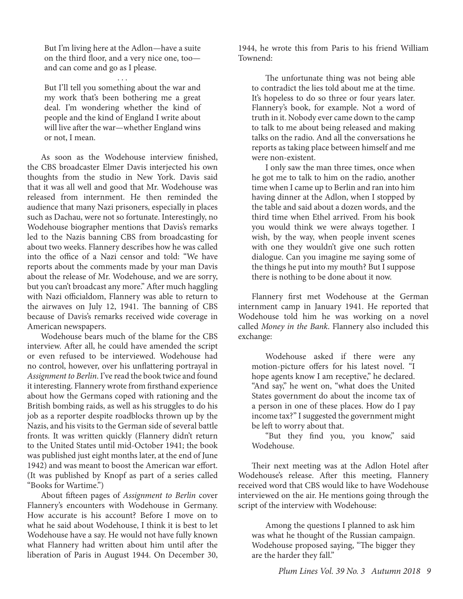But I'm living here at the Adlon—have a suite on the third floor, and a very nice one, too and can come and go as I please.

. . . But I'll tell you something about the war and my work that's been bothering me a great deal. I'm wondering whether the kind of people and the kind of England I write about will live after the war—whether England wins or not, I mean.

As soon as the Wodehouse interview finished, the CBS broadcaster Elmer Davis interjected his own thoughts from the studio in New York. Davis said that it was all well and good that Mr. Wodehouse was released from internment. He then reminded the audience that many Nazi prisoners, especially in places such as Dachau, were not so fortunate. Interestingly, no Wodehouse biographer mentions that Davis's remarks led to the Nazis banning CBS from broadcasting for about two weeks. Flannery describes how he was called into the office of a Nazi censor and told: "We have reports about the comments made by your man Davis about the release of Mr. Wodehouse, and we are sorry, but you can't broadcast any more." After much haggling with Nazi officialdom, Flannery was able to return to the airwaves on July 12, 1941. The banning of CBS because of Davis's remarks received wide coverage in American newspapers.

Wodehouse bears much of the blame for the CBS interview. After all, he could have amended the script or even refused to be interviewed. Wodehouse had no control, however, over his unflattering portrayal in *Assignment to Berlin*. I've read the book twice and found it interesting. Flannery wrote from firsthand experience about how the Germans coped with rationing and the British bombing raids, as well as his struggles to do his job as a reporter despite roadblocks thrown up by the Nazis, and his visits to the German side of several battle fronts. It was written quickly (Flannery didn't return to the United States until mid-October 1941; the book was published just eight months later, at the end of June 1942) and was meant to boost the American war effort. (It was published by Knopf as part of a series called "Books for Wartime.")

About fifteen pages of *Assignment to Berlin* cover Flannery's encounters with Wodehouse in Germany. How accurate is his account? Before I move on to what he said about Wodehouse, I think it is best to let Wodehouse have a say. He would not have fully known what Flannery had written about him until after the liberation of Paris in August 1944. On December 30,

1944, he wrote this from Paris to his friend William Townend:

The unfortunate thing was not being able to contradict the lies told about me at the time. It's hopeless to do so three or four years later. Flannery's book, for example. Not a word of truth in it. Nobody ever came down to the camp to talk to me about being released and making talks on the radio. And all the conversations he reports as taking place between himself and me were non-existent.

I only saw the man three times, once when he got me to talk to him on the radio, another time when I came up to Berlin and ran into him having dinner at the Adlon, when I stopped by the table and said about a dozen words, and the third time when Ethel arrived. From his book you would think we were always together. I wish, by the way, when people invent scenes with one they wouldn't give one such rotten dialogue. Can you imagine me saying some of the things he put into my mouth? But I suppose there is nothing to be done about it now.

Flannery first met Wodehouse at the German internment camp in January 1941. He reported that Wodehouse told him he was working on a novel called *Money in the Bank*. Flannery also included this exchange:

Wodehouse asked if there were any motion-picture offers for his latest novel. "I hope agents know I am receptive," he declared. "And say," he went on, "what does the United States government do about the income tax of a person in one of these places. How do I pay income tax?" I suggested the government might be left to worry about that.

"But they find you, you know," said Wodehouse.

Their next meeting was at the Adlon Hotel after Wodehouse's release. After this meeting, Flannery received word that CBS would like to have Wodehouse interviewed on the air. He mentions going through the script of the interview with Wodehouse:

Among the questions I planned to ask him was what he thought of the Russian campaign. Wodehouse proposed saying, "The bigger they are the harder they fall."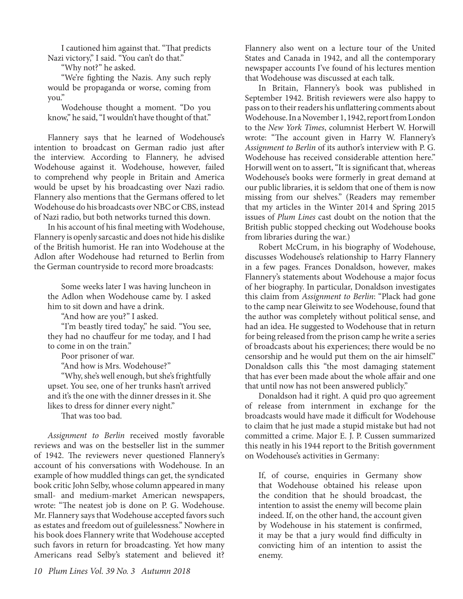I cautioned him against that. "That predicts Nazi victory," I said. "You can't do that."

"Why not?" he asked.

"We're fighting the Nazis. Any such reply would be propaganda or worse, coming from you."

Wodehouse thought a moment. "Do you know," he said, "I wouldn't have thought of that."

Flannery says that he learned of Wodehouse's intention to broadcast on German radio just after the interview. According to Flannery, he advised Wodehouse against it. Wodehouse, however, failed to comprehend why people in Britain and America would be upset by his broadcasting over Nazi radio. Flannery also mentions that the Germans offered to let Wodehouse do his broadcasts over NBC or CBS, instead of Nazi radio, but both networks turned this down.

In his account of his final meeting with Wodehouse, Flannery is openly sarcastic and does not hide his dislike of the British humorist. He ran into Wodehouse at the Adlon after Wodehouse had returned to Berlin from the German countryside to record more broadcasts:

Some weeks later I was having luncheon in the Adlon when Wodehouse came by. I asked him to sit down and have a drink.

"And how are you?" I asked.

"I'm beastly tired today," he said. "You see, they had no chauffeur for me today, and I had to come in on the train."

Poor prisoner of war.

"And how is Mrs. Wodehouse?"

"Why, she's well enough, but she's frightfully upset. You see, one of her trunks hasn't arrived and it's the one with the dinner dresses in it. She likes to dress for dinner every night."

That was too bad.

*Assignment to Berlin* received mostly favorable reviews and was on the bestseller list in the summer of 1942. The reviewers never questioned Flannery's account of his conversations with Wodehouse. In an example of how muddled things can get, the syndicated book critic John Selby, whose column appeared in many small- and medium-market American newspapers, wrote: "The neatest job is done on P. G. Wodehouse. Mr. Flannery says that Wodehouse accepted favors such as estates and freedom out of guilelessness." Nowhere in his book does Flannery write that Wodehouse accepted such favors in return for broadcasting. Yet how many Americans read Selby's statement and believed it?

Flannery also went on a lecture tour of the United States and Canada in 1942, and all the contemporary newspaper accounts I've found of his lectures mention that Wodehouse was discussed at each talk.

In Britain, Flannery's book was published in September 1942. British reviewers were also happy to pass on to their readers his unflattering comments about Wodehouse. In a November 1, 1942, report from London to the *New York Times*, columnist Herbert W. Horwill wrote: "The account given in Harry W. Flannery's *Assignment to Berlin* of its author's interview with P. G. Wodehouse has received considerable attention here." Horwill went on to assert, "It is significant that, whereas Wodehouse's books were formerly in great demand at our public libraries, it is seldom that one of them is now missing from our shelves." (Readers may remember that my articles in the Winter 2014 and Spring 2015 issues of *Plum Lines* cast doubt on the notion that the British public stopped checking out Wodehouse books from libraries during the war.)

Robert McCrum, in his biography of Wodehouse, discusses Wodehouse's relationship to Harry Flannery in a few pages. Frances Donaldson, however, makes Flannery's statements about Wodehouse a major focus of her biography. In particular, Donaldson investigates this claim from *Assignment to Berlin*: "Plack had gone to the camp near Gleiwitz to see Wodehouse, found that the author was completely without political sense, and had an idea. He suggested to Wodehouse that in return for being released from the prison camp he write a series of broadcasts about his experiences; there would be no censorship and he would put them on the air himself." Donaldson calls this "the most damaging statement that has ever been made about the whole affair and one that until now has not been answered publicly."

Donaldson had it right. A quid pro quo agreement of release from internment in exchange for the broadcasts would have made it difficult for Wodehouse to claim that he just made a stupid mistake but had not committed a crime. Major E. J. P. Cussen summarized this neatly in his 1944 report to the British government on Wodehouse's activities in Germany:

If, of course, enquiries in Germany show that Wodehouse obtained his release upon the condition that he should broadcast, the intention to assist the enemy will become plain indeed. If, on the other hand, the account given by Wodehouse in his statement is confirmed, it may be that a jury would find difficulty in convicting him of an intention to assist the enemy.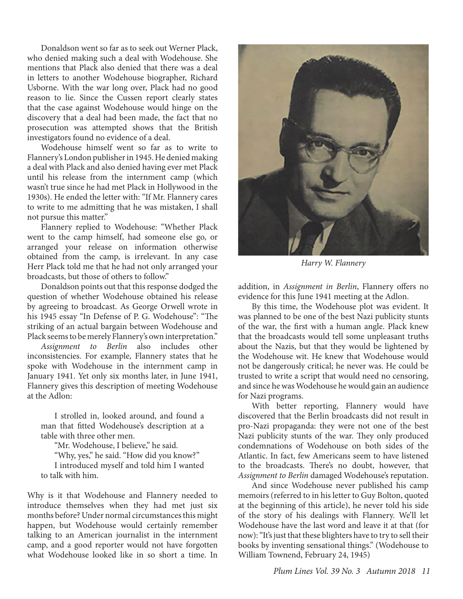Donaldson went so far as to seek out Werner Plack, who denied making such a deal with Wodehouse. She mentions that Plack also denied that there was a deal in letters to another Wodehouse biographer, Richard Usborne. With the war long over, Plack had no good reason to lie. Since the Cussen report clearly states that the case against Wodehouse would hinge on the discovery that a deal had been made, the fact that no prosecution was attempted shows that the British investigators found no evidence of a deal.

Wodehouse himself went so far as to write to Flannery's London publisher in 1945. He denied making a deal with Plack and also denied having ever met Plack until his release from the internment camp (which wasn't true since he had met Plack in Hollywood in the 1930s). He ended the letter with: "If Mr. Flannery cares to write to me admitting that he was mistaken, I shall not pursue this matter."

Flannery replied to Wodehouse: "Whether Plack went to the camp himself, had someone else go, or arranged your release on information otherwise obtained from the camp, is irrelevant. In any case Herr Plack told me that he had not only arranged your broadcasts, but those of others to follow."

Donaldson points out that this response dodged the question of whether Wodehouse obtained his release by agreeing to broadcast. As George Orwell wrote in his 1945 essay "In Defense of P. G. Wodehouse": "The striking of an actual bargain between Wodehouse and Plack seems to be merely Flannery's own interpretation."

*Assignment to Berlin* also includes other inconsistencies. For example, Flannery states that he spoke with Wodehouse in the internment camp in January 1941. Yet only six months later, in June 1941, Flannery gives this description of meeting Wodehouse at the Adlon:

I strolled in, looked around, and found a man that fitted Wodehouse's description at a table with three other men.

"Mr. Wodehouse, I believe," he said. "Why, yes," he said. "How did you know?" I introduced myself and told him I wanted to talk with him.

Why is it that Wodehouse and Flannery needed to introduce themselves when they had met just six months before? Under normal circumstances this might happen, but Wodehouse would certainly remember talking to an American journalist in the internment camp, and a good reporter would not have forgotten what Wodehouse looked like in so short a time. In



*Harry W. Flannery*

addition, in *Assignment in Berlin*, Flannery offers no evidence for this June 1941 meeting at the Adlon.

By this time, the Wodehouse plot was evident. It was planned to be one of the best Nazi publicity stunts of the war, the first with a human angle. Plack knew that the broadcasts would tell some unpleasant truths about the Nazis, but that they would be lightened by the Wodehouse wit. He knew that Wodehouse would not be dangerously critical; he never was. He could be trusted to write a script that would need no censoring, and since he was Wodehouse he would gain an audience for Nazi programs.

With better reporting, Flannery would have discovered that the Berlin broadcasts did not result in pro-Nazi propaganda: they were not one of the best Nazi publicity stunts of the war. They only produced condemnations of Wodehouse on both sides of the Atlantic. In fact, few Americans seem to have listened to the broadcasts. There's no doubt, however, that *Assignment to Berlin* damaged Wodehouse's reputation.

And since Wodehouse never published his camp memoirs (referred to in his letter to Guy Bolton, quoted at the beginning of this article), he never told his side of the story of his dealings with Flannery. We'll let Wodehouse have the last word and leave it at that (for now): "It's just that these blighters have to try to sell their books by inventing sensational things." (Wodehouse to William Townend, February 24, 1945)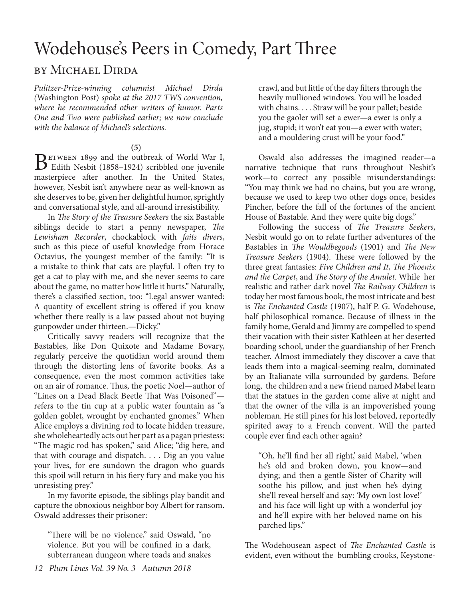# Wodehouse's Peers in Comedy, Part Three

#### by Michael Dirda

*Pulitzer-Prize-winning columnist Michael Dirda (*Washington Post) *spoke at the 2017 TWS convention, where he recommended other writers of humor. Parts One and Two were published earlier; we now conclude with the balance of Michael's selections.*

#### **(5)**

BETWEEN 1899 and the outbreak of World War I,<br>Edith Nesbit (1858–1924) scribbled one juvenile masterpiece after another. In the United States, however, Nesbit isn't anywhere near as well-known as she deserves to be, given her delightful humor, sprightly and conversational style, and all-around irresistibility.

In *The Story of the Treasure Seekers* the six Bastable siblings decide to start a penny newspaper, *The Lewisham Recorder*, chockablock with *faits divers*, such as this piece of useful knowledge from Horace Octavius, the youngest member of the family: "It is a mistake to think that cats are playful. I often try to get a cat to play with me, and she never seems to care about the game, no matter how little it hurts." Naturally, there's a classified section, too: "Legal answer wanted: A quantity of excellent string is offered if you know whether there really is a law passed about not buying gunpowder under thirteen.—Dicky."

Critically savvy readers will recognize that the Bastables, like Don Quixote and Madame Bovary, regularly perceive the quotidian world around them through the distorting lens of favorite books. As a consequence, even the most common activities take on an air of romance. Thus, the poetic Noel—author of "Lines on a Dead Black Beetle That Was Poisoned" refers to the tin cup at a public water fountain as "a golden goblet, wrought by enchanted gnomes." When Alice employs a divining rod to locate hidden treasure, she wholeheartedly acts out her part as a pagan priestess: "The magic rod has spoken," said Alice; "dig here, and that with courage and dispatch. . . . Dig an you value your lives, for ere sundown the dragon who guards this spoil will return in his fiery fury and make you his unresisting prey."

In my favorite episode, the siblings play bandit and capture the obnoxious neighbor boy Albert for ransom. Oswald addresses their prisoner:

"There will be no violence," said Oswald, "no violence. But you will be confined in a dark, subterranean dungeon where toads and snakes

crawl, and but little of the day filters through the heavily mullioned windows. You will be loaded with chains. . . . Straw will be your pallet; beside you the gaoler will set a ewer—a ewer is only a jug, stupid; it won't eat you—a ewer with water; and a mouldering crust will be your food."

Oswald also addresses the imagined reader—a narrative technique that runs throughout Nesbit's work—to correct any possible misunderstandings: "You may think we had no chains, but you are wrong, because we used to keep two other dogs once, besides Pincher, before the fall of the fortunes of the ancient House of Bastable. And they were quite big dogs."

Following the success of *The Treasure Seekers*, Nesbit would go on to relate further adventures of the Bastables in *The Wouldbegoods* (1901) and *The New Treasure Seekers* (1904). These were followed by the three great fantasies: *Five Children and It*, *The Phoenix and the Carpet*, and *The Story of the Amulet*. While her realistic and rather dark novel *The Railway Children* is today her most famous book, the most intricate and best is *The Enchanted Castle* (1907), half P. G. Wodehouse, half philosophical romance. Because of illness in the family home, Gerald and Jimmy are compelled to spend their vacation with their sister Kathleen at her deserted boarding school, under the guardianship of her French teacher. Almost immediately they discover a cave that leads them into a magical-seeming realm, dominated by an Italianate villa surrounded by gardens. Before long, the children and a new friend named Mabel learn that the statues in the garden come alive at night and that the owner of the villa is an impoverished young nobleman. He still pines for his lost beloved, reportedly spirited away to a French convent. Will the parted couple ever find each other again?

"Oh, he'll find her all right,' said Mabel, 'when he's old and broken down, you know—and dying; and then a gentle Sister of Charity will soothe his pillow, and just when he's dying she'll reveal herself and say: 'My own lost love!' and his face will light up with a wonderful joy and he'll expire with her beloved name on his parched lips."

The Wodehousean aspect of *The Enchanted Castle* is evident, even without the bumbling crooks, Keystone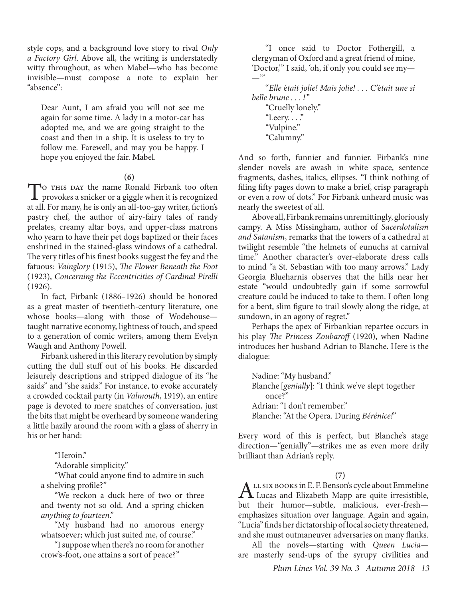style cops, and a background love story to rival *Only a Factory Girl*. Above all, the writing is understatedly witty throughout, as when Mabel—who has become invisible—must compose a note to explain her "absence":

Dear Aunt, I am afraid you will not see me again for some time. A lady in a motor-car has adopted me, and we are going straight to the coast and then in a ship. It is useless to try to follow me. Farewell, and may you be happy. I hope you enjoyed the fair. Mabel.

**(6)**

To THIS DAY the name Ronald Firbank too often<br>provokes a snicker or a giggle when it is recognized<br>the later provides a share all too present to fatter's at all. For many, he is only an all-too-gay writer, fiction's pastry chef, the author of airy-fairy tales of randy prelates, creamy altar boys, and upper-class matrons who yearn to have their pet dogs baptized or their faces enshrined in the stained-glass windows of a cathedral. The very titles of his finest books suggest the fey and the fatuous: *Vainglory* (1915), *The Flower Beneath the Foot* (1923), *Concerning the Eccentricities of Cardinal Pirelli*  (1926).

In fact, Firbank (1886–1926) should be honored as a great master of twentieth-century literature, one whose books—along with those of Wodehouse taught narrative economy, lightness of touch, and speed to a generation of comic writers, among them Evelyn Waugh and Anthony Powell.

Firbank ushered in this literary revolution by simply cutting the dull stuff out of his books. He discarded leisurely descriptions and stripped dialogue of its "he saids" and "she saids." For instance, to evoke accurately a crowded cocktail party (in *Valmouth*, 1919), an entire page is devoted to mere snatches of conversation, just the bits that might be overheard by someone wandering a little hazily around the room with a glass of sherry in his or her hand:

"Heroin."

"Adorable simplicity."

"What could anyone find to admire in such a shelving profile?"

"We reckon a duck here of two or three and twenty not so old. And a spring chicken *anything to fourteen*."

"My husband had no amorous energy whatsoever; which just suited me, of course."

"I suppose when there's no room for another crow's-foot, one attains a sort of peace?"

"I once said to Doctor Fothergill, a clergyman of Oxford and a great friend of mine, 'Doctor,'" I said, 'oh, if only you could see my—  $\overline{\phantom{0}}$ "

"*Elle* é*tait jolie! Mais jolie! . . . C'*é*tait une si belle brune . . . !* "

"Cruelly lonely." "Leery. . . ." "Vulpine." "Calumny."

And so forth, funnier and funnier. Firbank's nine slender novels are awash in white space, sentence fragments, dashes, italics, ellipses. "I think nothing of filing fifty pages down to make a brief, crisp paragraph or even a row of dots." For Firbank unheard music was nearly the sweetest of all.

Above all, Firbank remains unremittingly, gloriously campy. A Miss Missingham, author of *Sacerdotalism and Satanism*, remarks that the towers of a cathedral at twilight resemble "the helmets of eunuchs at carnival time." Another character's over-elaborate dress calls to mind "a St. Sebastian with too many arrows." Lady Georgia Blueharnis observes that the hills near her estate "would undoubtedly gain if some sorrowful creature could be induced to take to them. I often long for a bent, slim figure to trail slowly along the ridge, at sundown, in an agony of regret."

Perhaps the apex of Firbankian repartee occurs in his play *The Princess Zoubaroff* (1920), when Nadine introduces her husband Adrian to Blanche. Here is the dialogue:

Nadine: "My husband." Blanche [*genially*]: "I think we've slept together once?" Adrian: "I don't remember." Blanche: "At the Opera. During *Bérénice!*"

Every word of this is perfect, but Blanche's stage direction—"genially"—strikes me as even more drily brilliant than Adrian's reply.

#### **(7)**

ALL SIX BOOKS in E. F. Benson's cycle about Emmeline<br>Lucas and Elizabeth Mapp are quite irresistible, but their humor—subtle, malicious, ever-fresh emphasizes situation over language. Again and again, "Lucia" finds her dictatorship of local society threatened, and she must outmaneuver adversaries on many flanks.

All the novels—starting with *Queen Lucia* are masterly send-ups of the syrupy civilities and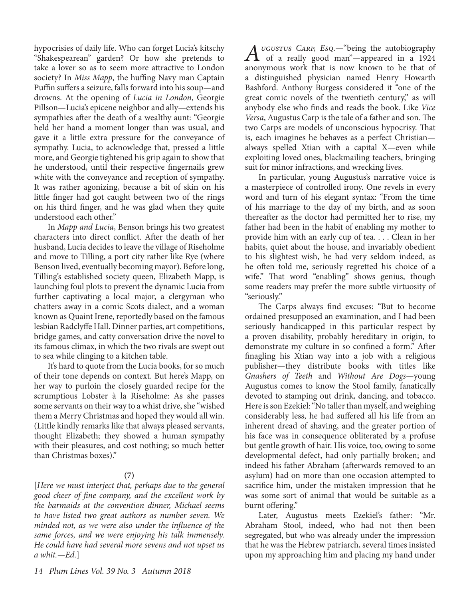hypocrisies of daily life. Who can forget Lucia's kitschy "Shakespearean" garden? Or how she pretends to take a lover so as to seem more attractive to London society? In *Miss Mapp*, the huffing Navy man Captain Puffin suffers a seizure, falls forward into his soup—and drowns. At the opening of *Lucia in London*, Georgie Pillson—Lucia's epicene neighbor and ally—extends his sympathies after the death of a wealthy aunt: "Georgie held her hand a moment longer than was usual, and gave it a little extra pressure for the conveyance of sympathy. Lucia, to acknowledge that, pressed a little more, and Georgie tightened his grip again to show that he understood, until their respective fingernails grew white with the conveyance and reception of sympathy. It was rather agonizing, because a bit of skin on his little finger had got caught between two of the rings on his third finger, and he was glad when they quite understood each other."

In *Mapp and Lucia*, Benson brings his two greatest characters into direct conflict. After the death of her husband, Lucia decides to leave the village of Riseholme and move to Tilling, a port city rather like Rye (where Benson lived, eventually becoming mayor). Before long, Tilling's established society queen, Elizabeth Mapp, is launching foul plots to prevent the dynamic Lucia from further captivating a local major, a clergyman who chatters away in a comic Scots dialect, and a woman known as Quaint Irene, reportedly based on the famous lesbian Radclyffe Hall. Dinner parties, art competitions, bridge games, and catty conversation drive the novel to its famous climax, in which the two rivals are swept out to sea while clinging to a kitchen table.

It's hard to quote from the Lucia books, for so much of their tone depends on context. But here's Mapp, on her way to purloin the closely guarded recipe for the scrumptious Lobster à la Riseholme: As she passes some servants on their way to a whist drive, she "wished them a Merry Christmas and hoped they would all win. (Little kindly remarks like that always pleased servants, thought Elizabeth; they showed a human sympathy with their pleasures, and cost nothing; so much better than Christmas boxes)."

#### **(7)**

[*Here we must interject that, perhaps due to the general good cheer of fine company, and the excellent work by the barmaids at the convention dinner, Michael seems to have listed two great authors as number seven. We minded not, as we were also under the influence of the same forces, and we were enjoying his talk immensely. He could have had several more sevens and not upset us a whit.—Ed.*]

*A*UGUSTUS CARP, Esq.—"being the autobiography of a really good man"—appeared in a 1924 anonymous work that is now known to be that of a distinguished physician named Henry Howarth Bashford. Anthony Burgess considered it "one of the great comic novels of the twentieth century," as will anybody else who finds and reads the book. Like *Vice Versa*, Augustus Carp is the tale of a father and son. The two Carps are models of unconscious hypocrisy. That is, each imagines he behaves as a perfect Christian always spelled Xtian with a capital X—even while exploiting loved ones, blackmailing teachers, bringing suit for minor infractions, and wrecking lives.

In particular, young Augustus's narrative voice is a masterpiece of controlled irony. One revels in every word and turn of his elegant syntax: "From the time of his marriage to the day of my birth, and as soon thereafter as the doctor had permitted her to rise, my father had been in the habit of enabling my mother to provide him with an early cup of tea. . . . Clean in her habits, quiet about the house, and invariably obedient to his slightest wish, he had very seldom indeed, as he often told me, seriously regretted his choice of a wife." That word "enabling" shows genius, though some readers may prefer the more subtle virtuosity of "seriously."

The Carps always find excuses: "But to become ordained presupposed an examination, and I had been seriously handicapped in this particular respect by a proven disability, probably hereditary in origin, to demonstrate my culture in so confined a form." After finagling his Xtian way into a job with a religious publisher—they distribute books with titles like *Gnashers of Teeth* and *Without Are Dogs—*young Augustus comes to know the Stool family, fanatically devoted to stamping out drink, dancing, and tobacco. Here is son Ezekiel: "No taller than myself, and weighing considerably less, he had suffered all his life from an inherent dread of shaving, and the greater portion of his face was in consequence obliterated by a profuse but gentle growth of hair. His voice, too, owing to some developmental defect, had only partially broken; and indeed his father Abraham (afterwards removed to an asylum) had on more than one occasion attempted to sacrifice him, under the mistaken impression that he was some sort of animal that would be suitable as a burnt offering."

Later, Augustus meets Ezekiel's father: "Mr. Abraham Stool, indeed, who had not then been segregated, but who was already under the impression that he was the Hebrew patriarch, several times insisted upon my approaching him and placing my hand under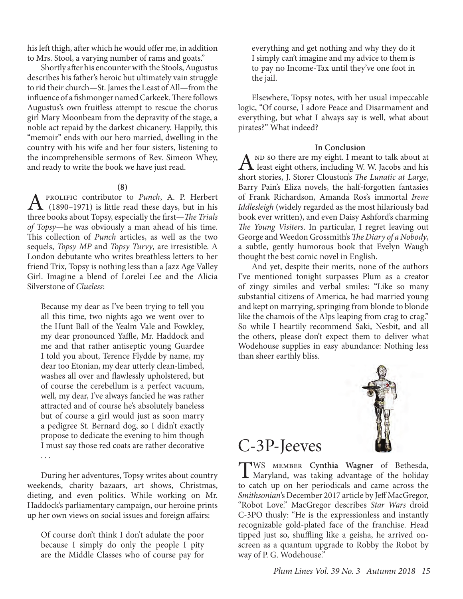his left thigh, after which he would offer me, in addition to Mrs. Stool, a varying number of rams and goats."

Shortly after his encounter with the Stools, Augustus describes his father's heroic but ultimately vain struggle to rid their church—St. James the Least of All—from the influence of a fishmonger named Carkeek. There follows Augustus's own fruitless attempt to rescue the chorus girl Mary Moonbeam from the depravity of the stage, a noble act repaid by the darkest chicanery. Happily, this "memoir" ends with our hero married, dwelling in the country with his wife and her four sisters, listening to the incomprehensible sermons of Rev. Simeon Whey, and ready to write the book we have just read.

#### **(8)**

A prolific contributor to *Punch*, A. P. Herbert (1890–1971) is little read these days, but in his three books about Topsy, especially the first—*The Trials of Topsy—*he was obviously a man ahead of his time. This collection of *Punch* articles, as well as the two sequels, *Topsy MP* and *Topsy Turvy*, are irresistible. A London debutante who writes breathless letters to her friend Trix, Topsy is nothing less than a Jazz Age Valley Girl. Imagine a blend of Lorelei Lee and the Alicia Silverstone of *Clueless*:

Because my dear as I've been trying to tell you all this time, two nights ago we went over to the Hunt Ball of the Yealm Vale and Fowkley, my dear pronounced Yaffle, Mr. Haddock and me and that rather antiseptic young Guardee I told you about, Terence Flydde by name, my dear too Etonian, my dear utterly clean-limbed, washes all over and flawlessly upholstered, but of course the cerebellum is a perfect vacuum, well, my dear, I've always fancied he was rather attracted and of course he's absolutely baneless but of course a girl would just as soon marry a pedigree St. Bernard dog, so I didn't exactly propose to dedicate the evening to him though I must say those red coats are rather decorative . . .

During her adventures, Topsy writes about country weekends, charity bazaars, art shows, Christmas, dieting, and even politics. While working on Mr. Haddock's parliamentary campaign, our heroine prints up her own views on social issues and foreign affairs:

Of course don't think I don't adulate the poor because I simply do only the people I pity are the Middle Classes who of course pay for everything and get nothing and why they do it I simply can't imagine and my advice to them is to pay no Income-Tax until they've one foot in the jail.

Elsewhere, Topsy notes, with her usual impeccable logic, "Of course, I adore Peace and Disarmament and everything, but what I always say is well, what about pirates?" What indeed?

#### **In Conclusion**

 $A^{ND}$  so there are my eight. I meant to talk about at least eight others, including W. W. Jacobs and his short stories, J. Storer Clouston's *The Lunatic at Large*, Barry Pain's Eliza novels, the half-forgotten fantasies of Frank Richardson, Amanda Ros's immortal *Irene Iddlesleigh* (widely regarded as the most hilariously bad book ever written), and even Daisy Ashford's charming *The Young Visiters*. In particular, I regret leaving out George and Weedon Grossmith's *The Diary of a Nobody*, a subtle, gently humorous book that Evelyn Waugh thought the best comic novel in English.

And yet, despite their merits, none of the authors I've mentioned tonight surpasses Plum as a creator of zingy similes and verbal smiles: "Like so many substantial citizens of America, he had married young and kept on marrying, springing from blonde to blonde like the chamois of the Alps leaping from crag to crag." So while I heartily recommend Saki, Nesbit, and all the others, please don't expect them to deliver what Wodehouse supplies in easy abundance: Nothing less than sheer earthly bliss.



### C-3P-Jeeves

TWS member **Cynthia Wagner** of Bethesda, Maryland, was taking advantage of the holiday to catch up on her periodicals and came across the *Smithsonian*'s December 2017 article by Jeff MacGregor, "Robot Love." MacGregor describes *Star Wars* droid C-3PO thusly: "He is the expressionless and instantly recognizable gold-plated face of the franchise. Head tipped just so, shuffling like a geisha, he arrived onscreen as a quantum upgrade to Robby the Robot by way of P. G. Wodehouse."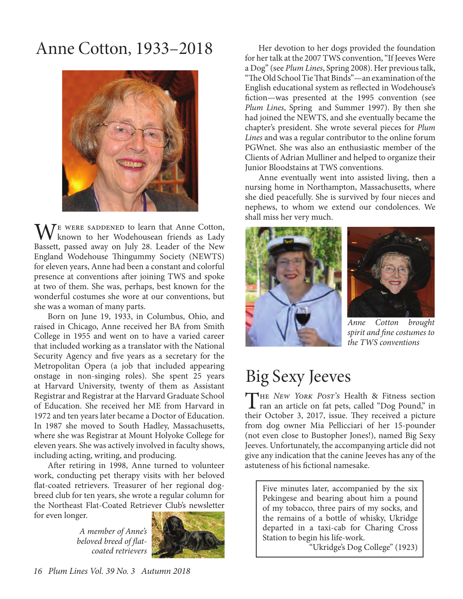## Anne Cotton, 1933–2018



 $\bigwedge_{1}^{\mathbb{F}}$  were saddened to learn that Anne Cotton, known to her Wodehousean friends as Lady Bassett, passed away on July 28. Leader of the New England Wodehouse Thingummy Society (NEWTS) for eleven years, Anne had been a constant and colorful presence at conventions after joining TWS and spoke at two of them. She was, perhaps, best known for the wonderful costumes she wore at our conventions, but she was a woman of many parts.

Born on June 19, 1933, in Columbus, Ohio, and raised in Chicago, Anne received her BA from Smith College in 1955 and went on to have a varied career that included working as a translator with the National Security Agency and five years as a secretary for the Metropolitan Opera (a job that included appearing onstage in non-singing roles). She spent 25 years at Harvard University, twenty of them as Assistant Registrar and Registrar at the Harvard Graduate School of Education. She received her ME from Harvard in 1972 and ten years later became a Doctor of Education. In 1987 she moved to South Hadley, Massachusetts, where she was Registrar at Mount Holyoke College for eleven years. She was actively involved in faculty shows, including acting, writing, and producing.

After retiring in 1998, Anne turned to volunteer work, conducting pet therapy visits with her beloved flat-coated retrievers. Treasurer of her regional dogbreed club for ten years, she wrote a regular column for the Northeast Flat-Coated Retriever Club's newsletter for even longer.

> *A member of Anne's beloved breed of flatcoated retrievers*



Her devotion to her dogs provided the foundation for her talk at the 2007 TWS convention, "If Jeeves Were a Dog" (see *Plum Lines*, Spring 2008). Her previous talk, "The Old School Tie That Binds"—an examination of the English educational system as reflected in Wodehouse's fiction—was presented at the 1995 convention (see *Plum Lines*, Spring and Summer 1997). By then she had joined the NEWTS, and she eventually became the chapter's president. She wrote several pieces for *Plum Lines* and was a regular contributor to the online forum PGWnet. She was also an enthusiastic member of the Clients of Adrian Mulliner and helped to organize their Junior Bloodstains at TWS conventions.

Anne eventually went into assisted living, then a nursing home in Northampton, Massachusetts, where she died peacefully. She is survived by four nieces and nephews, to whom we extend our condolences. We shall miss her very much.





*Anne Cotton brought spirit and fine costumes to the TWS conventions*

# Big Sexy Jeeves

The *New York Post's* Health & Fitness section ran an article on fat pets, called "Dog Pound," in their October 3, 2017, issue. They received a picture from dog owner Mia Pellicciari of her 15-pounder (not even close to Bustopher Jones!), named Big Sexy Jeeves. Unfortunately, the accompanying article did not give any indication that the canine Jeeves has any of the astuteness of his fictional namesake.

Five minutes later, accompanied by the six Pekingese and bearing about him a pound of my tobacco, three pairs of my socks, and the remains of a bottle of whisky, Ukridge departed in a taxi-cab for Charing Cross Station to begin his life-work.

"Ukridge's Dog College" (1923)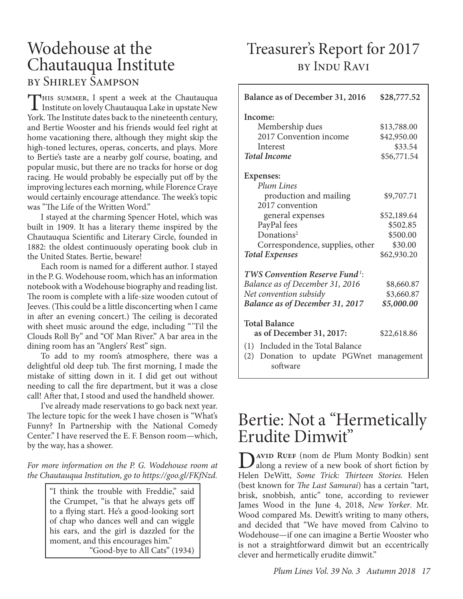### Wodehouse at the Chautauqua Institute by Shirley Sampson

THIS SUMMER, I spent a week at the Chautauqua<br>Institute on lovely Chautauqua Lake in upstate New York. The Institute dates back to the nineteenth century, and Bertie Wooster and his friends would feel right at home vacationing there, although they might skip the high-toned lectures, operas, concerts, and plays. More to Bertie's taste are a nearby golf course, boating, and popular music, but there are no tracks for horse or dog racing. He would probably be especially put off by the improving lectures each morning, while Florence Craye would certainly encourage attendance. The week's topic was "The Life of the Written Word."

I stayed at the charming Spencer Hotel, which was built in 1909. It has a literary theme inspired by the Chautauqua Scientific and Literary Circle, founded in 1882: the oldest continuously operating book club in the United States. Bertie, beware!

Each room is named for a different author. I stayed in the P. G. Wodehouse room, which has an information notebook with a Wodehouse biography and reading list. The room is complete with a life-size wooden cutout of Jeeves. (This could be a little disconcerting when I came in after an evening concert.) The ceiling is decorated with sheet music around the edge, including "'Til the Clouds Roll By" and "Ol' Man River." A bar area in the dining room has an "Anglers' Rest" sign.

To add to my room's atmosphere, there was a delightful old deep tub. The first morning, I made the mistake of sitting down in it. I did get out without needing to call the fire department, but it was a close call! After that, I stood and used the handheld shower.

I've already made reservations to go back next year. The lecture topic for the week I have chosen is "What's Funny? In Partnership with the National Comedy Center." I have reserved the E. F. Benson room—which, by the way, has a shower.

*For more information on the P. G. Wodehouse room at the Chautauqua Institution, go to https://goo.gl/FKfNzd.*

> "I think the trouble with Freddie," said the Crumpet, "is that he always gets off to a flying start. He's a good-looking sort of chap who dances well and can wiggle his ears, and the girl is dazzled for the moment, and this encourages him." "Good-bye to All Cats" (1934)

### Treasurer's Report for 2017 by Indu Ravi

| Balance as of December 31, 2016                                                         | \$28,777.52                                          |
|-----------------------------------------------------------------------------------------|------------------------------------------------------|
| Income:<br>Membership dues<br>2017 Convention income<br>Interest<br><b>Total Income</b> | \$13,788.00<br>\$42,950.00<br>\$33.54<br>\$56,771.54 |
| Expenses:<br>Plum Lines                                                                 |                                                      |
| production and mailing<br>2017 convention                                               | \$9,707.71                                           |
| general expenses                                                                        | \$52,189.64                                          |
| PayPal fees                                                                             | \$502.85                                             |
| Donations <sup>2</sup>                                                                  | \$500.00                                             |
| Correspondence, supplies, other                                                         | \$30.00                                              |
| <b>Total Expenses</b>                                                                   | \$62,930.20                                          |
| TWS Convention Reserve Fund <sup>1</sup> :                                              |                                                      |
| Balance as of December 31, 2016                                                         | \$8,660.87                                           |
| Net convention subsidy                                                                  | \$3,660.87                                           |
| Balance as of December 31, 2017                                                         | \$5,000.00                                           |
| <b>Total Balance</b>                                                                    |                                                      |
| as of December 31, 2017:                                                                | \$22,618.86                                          |
| Included in the Total Balance<br>(1)                                                    |                                                      |
| Donation to update PGWnet<br>(2)<br>software                                            | management                                           |

### Bertie: Not a "Hermetically Erudite Dimwit"

**D**<br> **D**<br> **along a review of a new book of short fiction by<br>
<b>Explore D**<br> **Explore Triple Tringer**<br> **Consequently**<br> **Consequently** Helen DeWitt, *Some Trick: Thirteen Stories.* Helen (best known for *The Last Samurai*) has a certain "tart, brisk, snobbish, antic" tone, according to reviewer James Wood in the June 4, 2018, *New Yorker*. Mr. Wood compared Ms. Dewitt's writing to many others, and decided that "We have moved from Calvino to Wodehouse—if one can imagine a Bertie Wooster who is not a straightforward dimwit but an eccentrically clever and hermetically erudite dimwit."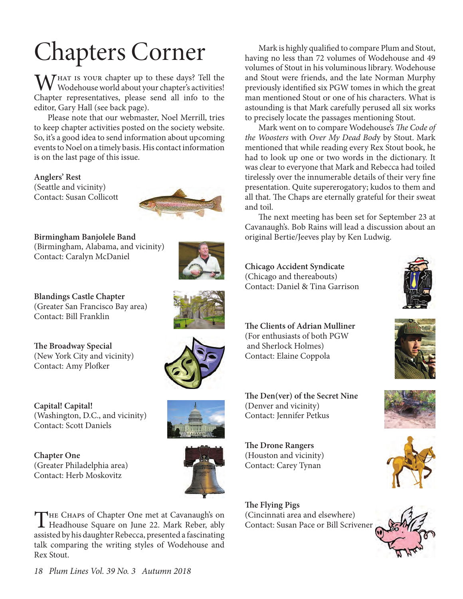M/HAT IS YOUR chapter up to these days? Tell the Wodehouse world about your chapter's activities! Chapter representatives, please send all info to the editor, Gary Hall (see back page).

Please note that our webmaster, Noel Merrill, tries to keep chapter activities posted on the society website. So, it's a good idea to send information about upcoming events to Noel on a timely basis. His contact information is on the last page of this issue.

**Anglers' Rest** (Seattle and vicinity) Contact: Susan Collicott



**Birmingham Banjolele Band** (Birmingham, Alabama, and vicinity) Contact: Caralyn McDaniel



**Blandings Castle Chapter** (Greater San Francisco Bay area) Contact: Bill Franklin

**The Broadway Special** (New York City and vicinity) Contact: Amy Plofker

**Capital! Capital!**  (Washington, D.C., and vicinity) Contact: Scott Daniels

**Chapter One**  (Greater Philadelphia area) Contact: Herb Moskovitz





THE CHAPS of Chapter One met at Cavanaugh's on<br>Headhouse Square on June 22. Mark Reber, ably assisted by his daughter Rebecca, presented a fascinating talk comparing the writing styles of Wodehouse and Rex Stout.

Chapters Corner Mark is highly qualified to compare Plum and Stout,<br>having no less than 72 volumes of Wodehouse and 49 having no less than 72 volumes of Wodehouse and 49 volumes of Stout in his voluminous library. Wodehouse and Stout were friends, and the late Norman Murphy previously identified six PGW tomes in which the great man mentioned Stout or one of his characters. What is astounding is that Mark carefully perused all six works to precisely locate the passages mentioning Stout.

Mark went on to compare Wodehouse's *The Code of the Woosters* with *Over My Dead Bod*y by Stout. Mark mentioned that while reading every Rex Stout book, he had to look up one or two words in the dictionary. It was clear to everyone that Mark and Rebecca had toiled tirelessly over the innumerable details of their very fine presentation. Quite supererogatory; kudos to them and all that. The Chaps are eternally grateful for their sweat and toil.

The next meeting has been set for September 23 at Cavanaugh's. Bob Rains will lead a discussion about an original Bertie/Jeeves play by Ken Ludwig.

**Chicago Accident Syndicate** (Chicago and thereabouts) Contact: Daniel & Tina Garrison



**The Clients of Adrian Mulliner** (For enthusiasts of both PGW and Sherlock Holmes) Contact: Elaine Coppola



**The Den(ver) of the Secret Nine** (Denver and vicinity) Contact: Jennifer Petkus

**The Drone Rangers** (Houston and vicinity) Contact: Carey Tynan

**The Flying Pigs** (Cincinnati area and elsewhere) Contact: Susan Pace or Bill Scrivener







*18 Plum Lines Vol. 39 No. 3 Autumn 2018*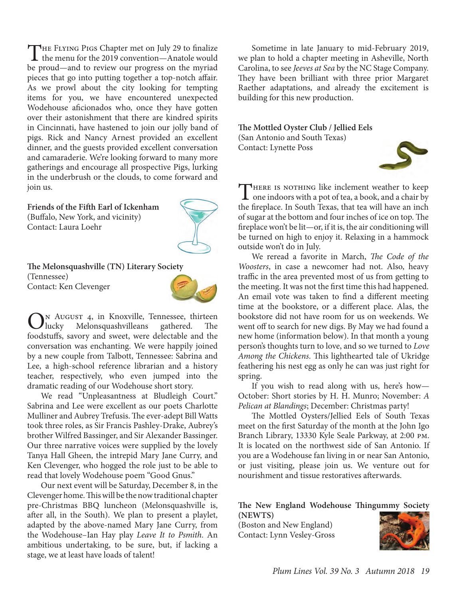THE FLYING PIGS Chapter met on July 29 to finalize<br>the menu for the 2019 convention—Anatole would be proud—and to review our progress on the myriad pieces that go into putting together a top-notch affair. As we prowl about the city looking for tempting items for you, we have encountered unexpected Wodehouse aficionados who, once they have gotten over their astonishment that there are kindred spirits in Cincinnati, have hastened to join our jolly band of pigs. Rick and Nancy Arnest provided an excellent dinner, and the guests provided excellent conversation and camaraderie. We're looking forward to many more gatherings and encourage all prospective Pigs, lurking in the underbrush or the clouds, to come forward and join us.

**Friends of the Fifth Earl of Ickenham** (Buffalo, New York, and vicinity) Contact: Laura Loehr



**The Melonsquashville (TN) Literary Society** (Tennessee) Contact: Ken Clevenger



N August 4, in Knoxville, Tennessee, thirteen<br>lucky Melonsquashvilleans gathered. The lucky Melonsquashvilleans foodstuffs, savory and sweet, were delectable and the conversation was enchanting. We were happily joined by a new couple from Talbott, Tennessee: Sabrina and Lee, a high-school reference librarian and a history teacher, respectively, who even jumped into the dramatic reading of our Wodehouse short story.

We read "Unpleasantness at Bludleigh Court." Sabrina and Lee were excellent as our poets Charlotte Mulliner and Aubrey Trefusis. The ever-adept Bill Watts took three roles, as Sir Francis Pashley-Drake, Aubrey's brother Wilfred Bassinger, and Sir Alexander Bassinger. Our three narrative voices were supplied by the lovely Tanya Hall Gheen, the intrepid Mary Jane Curry, and Ken Clevenger, who hogged the role just to be able to read that lovely Wodehouse poem "Good Gnus."

Our next event will be Saturday, December 8, in the Clevenger home. This will be the now traditional chapter pre-Christmas BBQ luncheon (Melonsquashville is, after all, in the South). We plan to present a playlet, adapted by the above-named Mary Jane Curry, from the Wodehouse–Ian Hay play *Leave It to Psmith*. An ambitious undertaking, to be sure, but, if lacking a stage, we at least have loads of talent!

Sometime in late January to mid-February 2019, we plan to hold a chapter meeting in Asheville, North Carolina, to see *Jeeves at Sea* by the NC Stage Company. They have been brilliant with three prior Margaret Raether adaptations, and already the excitement is building for this new production.

**The Mottled Oyster Club / Jellied Eels** (San Antonio and South Texas) Contact: Lynette Poss



THERE IS NOTHING like inclement weather to keep<br>one indoors with a pot of tea, a book, and a chair by<br>the familiar line familiar way in the the fireplace. In South Texas, that tea will have an inch of sugar at the bottom and four inches of ice on top. The fireplace won't be lit—or, if it is, the air conditioning will be turned on high to enjoy it. Relaxing in a hammock outside won't do in July.

We reread a favorite in March, *The Code of the Woosters*, in case a newcomer had not. Also, heavy traffic in the area prevented most of us from getting to the meeting. It was not the first time this had happened. An email vote was taken to find a different meeting time at the bookstore, or a different place. Alas, the bookstore did not have room for us on weekends. We went off to search for new digs. By May we had found a new home (information below). In that month a young person's thoughts turn to love, and so we turned to *Love Among the Chickens*. This lighthearted tale of Ukridge feathering his nest egg as only he can was just right for spring.

If you wish to read along with us, here's how— October: Short stories by H. H. Munro; November: *A Pelican at Blandings*; December: Christmas party!

The Mottled Oysters/Jellied Eels of South Texas meet on the first Saturday of the month at the John Igo Branch Library, 13330 Kyle Seale Parkway, at 2:00 pm. It is located on the northwest side of San Antonio. If you are a Wodehouse fan living in or near San Antonio, or just visiting, please join us. We venture out for nourishment and tissue restoratives afterwards.

**The New England Wodehouse Thingummy Society (NEWTS)**

(Boston and New England) Contact: Lynn Vesley-Gross

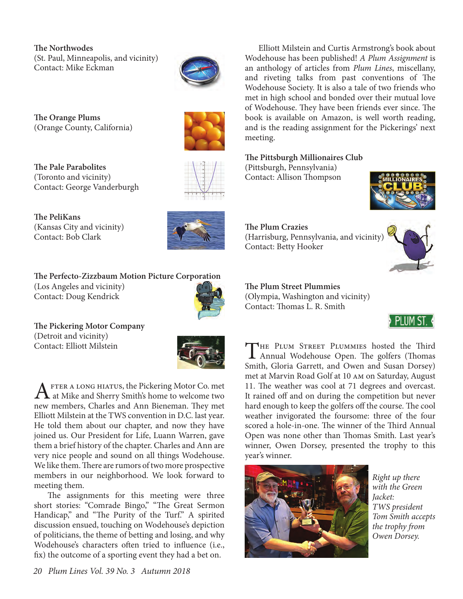**The Northwodes** (St. Paul, Minneapolis, and vicinity) Contact: Mike Eckman



**The Orange Plums** (Orange County, California)



**The Pale Parabolites** (Toronto and vicinity) Contact: George Vanderburgh

**The PeliKans** (Kansas City and vicinity) Contact: Bob Clark



**The Perfecto-Zizzbaum Motion Picture Corporation** (Los Angeles and vicinity) Contact: Doug Kendrick



**The Pickering Motor Company** (Detroit and vicinity) Contact: Elliott Milstein



A FTER A LONG HIATUS, the Pickering Motor Co. met<br>at Mike and Sherry Smith's home to welcome two new members, Charles and Ann Bieneman. They met Elliott Milstein at the TWS convention in D.C. last year. He told them about our chapter, and now they have joined us. Our President for Life, Luann Warren, gave them a brief history of the chapter. Charles and Ann are very nice people and sound on all things Wodehouse. We like them. There are rumors of two more prospective members in our neighborhood. We look forward to meeting them.

The assignments for this meeting were three short stories: "Comrade Bingo," "The Great Sermon Handicap," and "The Purity of the Turf." A spirited discussion ensued, touching on Wodehouse's depiction of politicians, the theme of betting and losing, and why Wodehouse's characters often tried to influence (i.e., fix) the outcome of a sporting event they had a bet on.

Elliott Milstein and Curtis Armstrong's book about Wodehouse has been published! *A Plum Assignment* is an anthology of articles from *Plum Lines*, miscellany, and riveting talks from past conventions of The Wodehouse Society. It is also a tale of two friends who met in high school and bonded over their mutual love of Wodehouse. They have been friends ever since. The book is available on Amazon, is well worth reading, and is the reading assignment for the Pickerings' next meeting.

#### **The Pittsburgh Millionaires Club**

(Pittsburgh, Pennsylvania) Contact: Allison Thompson



**The Plum Crazies** (Harrisburg, Pennsylvania, and vicinity) Contact: Betty Hooker



**The Plum Street Plummies** (Olympia, Washington and vicinity) Contact: Thomas L. R. Smith



THE PLUM STREET PLUMMIES hosted the Third<br>Annual Wodehouse Open. The golfers (Thomas Smith, Gloria Garrett, and Owen and Susan Dorsey) met at Marvin Road Golf at 10 am on Saturday, August 11. The weather was cool at 71 degrees and overcast. It rained off and on during the competition but never hard enough to keep the golfers off the course. The cool weather invigorated the foursome: three of the four scored a hole-in-one. The winner of the Third Annual Open was none other than Thomas Smith. Last year's winner, Owen Dorsey, presented the trophy to this year's winner.



*Right up there with the Green Jacket: TWS president Tom Smith accepts the trophy from Owen Dorsey.*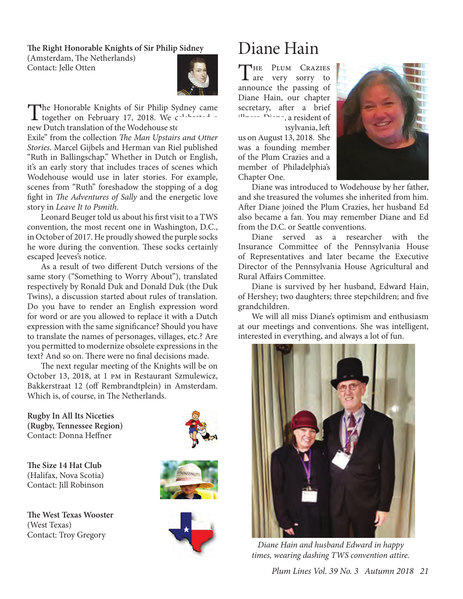#### **The Right Honorable Knights of Sir Philip Sidney**

(Amsterdam, The Netherlands) Contact: Jelle Otten



The Honorable Knights of Sir Philip Sydney came<br>together on February 17, 2018. We calculated a new Dutch translation of the Wodehouse sto Exile" from the collection *The Man Upstairs and Other Stories*. Marcel Gijbels and Herman van Riel published

"Ruth in Ballingschap." Whether in Dutch or English, it's an early story that includes traces of scenes which Wodehouse would use in later stories. For example, scenes from "Ruth" foreshadow the stopping of a dog fight in *The Adventures of Sally* and the energetic love story in *Leave It to Psmith*.

Leonard Beuger told us about his first visit to a TWS convention, the most recent one in Washington, D.C., in October of 2017. He proudly showed the purple socks he wore during the convention. These socks certainly escaped Jeeves's notice.

As a result of two different Dutch versions of the same story ("Something to Worry About"), translated respectively by Ronald Duk and Donald Duk (the Duk Twins), a discussion started about rules of translation. Do you have to render an English expression word for word or are you allowed to replace it with a Dutch expression with the same significance? Should you have to translate the names of personages, villages, etc.? Are you permitted to modernize obsolete expressions in the text? And so on. There were no final decisions made.

The next regular meeting of the Knights will be on October 13, 2018, at 1 pm in Restaurant Szmulewicz, Bakkerstraat 12 (off Rembrandtplein) in Amsterdam. Which is, of course, in The Netherlands.

**Rugby In All Its Niceties (Rugby, Tennessee Region)** Contact: Donna Heffner

**The Size 14 Hat Club** (Halifax, Nova Scotia) Contact: Jill Robinson

**The West Texas Wooster** (West Texas) Contact: Troy Gregory





# Diane Hain

**HE PLUM CRAZIES** are very sorry to announce the passing of Diane Hain, our chapter secretary, after a brief illness. Diane, a resident of nsylvania, left

us on August 13, 2018. She was a founding member of the Plum Crazies and a member of Philadelphia's Chapter One.



Diane was introduced to Wodehouse by her father, and she treasured the volumes she inherited from him. After Diane joined the Plum Crazies, her husband Ed also became a fan. You may remember Diane and Ed from the D.C. or Seattle conventions.

Diane served as a researcher with the Insurance Committee of the Pennsylvania House of Representatives and later became the Executive Director of the Pennsylvania House Agricultural and Rural Affairs Committee.

Diane is survived by her husband, Edward Hain, of Hershey; two daughters; three stepchildren; and five grandchildren.

We will all miss Diane's optimism and enthusiasm at our meetings and conventions. She was intelligent, interested in everything, and always a lot of fun.



*Diane Hain and husband Edward in happy times, wearing dashing TWS convention attire.*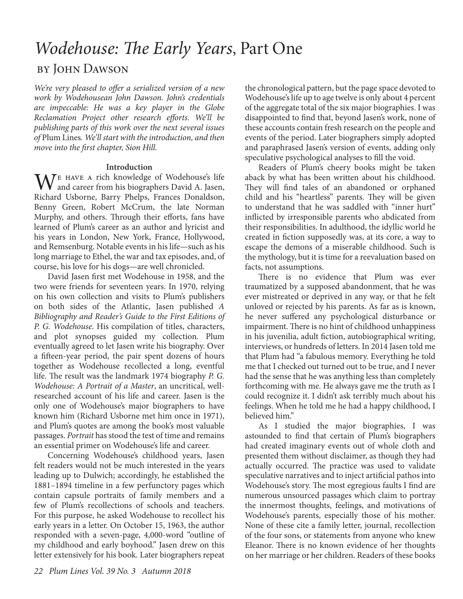## *Wodehouse: The Early Years*, Part One

#### by John Dawson

*We're very pleased to offer a serialized version of a new work by Wodehousean John Dawson. John's credentials are impeccable: He was a key player in the Globe Reclamation Project other research efforts. We'll be publishing parts of this work over the next several issues of* Plum Lines*. We'll start with the introduction, and then move into the first chapter, Sion Hill.*

#### **Introduction**

WE HAVE A rich knowledge of Wodehouse's life<br>and career from his biographers David A. Jasen, and career from his biographers David A. Jasen, Richard Usborne, Barry Phelps, Frances Donaldson, Benny Green, Robert McCrum, the late Norman Murphy, and others. Through their efforts, fans have learned of Plum's career as an author and lyricist and his years in London, New York, France, Hollywood, and Remsenburg. Notable events in his life—such as his long marriage to Ethel, the war and tax episodes, and, of course, his love for his dogs—are well chronicled.

David Jasen first met Wodehouse in 1958, and the two were friends for seventeen years. In 1970, relying on his own collection and visits to Plum's publishers on both sides of the Atlantic, Jasen published *A Bibliography and Reader's Guide to the First Editions of P. G. Wodehouse*. His compilation of titles, characters, and plot synopses guided my collection. Plum eventually agreed to let Jasen write his biography. Over a fifteen-year period, the pair spent dozens of hours together as Wodehouse recollected a long, eventful life. The result was the landmark 1974 biography *P. G. Wodehouse: A Portrait of a Master*, an uncritical, wellresearched account of his life and career. Jasen is the only one of Wodehouse's major biographers to have known him (Richard Usborne met him once in 1971), and Plum's quotes are among the book's most valuable passages. *Portrait* has stood the test of time and remains an essential primer on Wodehouse's life and career.

Concerning Wodehouse's childhood years, Jasen felt readers would not be much interested in the years leading up to Dulwich; accordingly, he established the 1881–1894 timeline in a few perfunctory pages which contain capsule portraits of family members and a few of Plum's recollections of schools and teachers. For this purpose, he asked Wodehouse to recollect his early years in a letter. On October 15, 1963, the author responded with a seven-page, 4,000-word "outline of my childhood and early boyhood." Jasen drew on this letter extensively for his book. Later biographers repeat

the chronological pattern, but the page space devoted to Wodehouse's life up to age twelve is only about 4 percent of the aggregate total of the six major biographies. I was disappointed to find that, beyond Jasen's work, none of these accounts contain fresh research on the people and events of the period. Later biographers simply adopted and paraphrased Jasen's version of events, adding only speculative psychological analyses to fill the void.

Readers of Plum's cheery books might be taken aback by what has been written about his childhood. They will find tales of an abandoned or orphaned child and his "heartless" parents. They will be given to understand that he was saddled with "inner hurt" inflicted by irresponsible parents who abdicated from their responsibilities. In adulthood, the idyllic world he created in fiction supposedly was, at its core, a way to escape the demons of a miserable childhood. Such is the mythology, but it is time for a reevaluation based on facts, not assumptions.

There is no evidence that Plum was ever traumatized by a supposed abandonment, that he was ever mistreated or deprived in any way, or that he felt unloved or rejected by his parents. As far as is known, he never suffered any psychological disturbance or impairment. There is no hint of childhood unhappiness in his juvenilia, adult fiction, autobiographical writing, interviews, or hundreds of letters. In 2014 Jasen told me that Plum had "a fabulous memory. Everything he told me that I checked out turned out to be true, and I never had the sense that he was anything less than completely forthcoming with me. He always gave me the truth as I could recognize it. I didn't ask terribly much about his feelings. When he told me he had a happy childhood, I believed him."

As I studied the major biographies, I was astounded to find that certain of Plum's biographers had created imaginary events out of whole cloth and presented them without disclaimer, as though they had actually occurred. The practice was used to validate speculative narratives and to inject artificial pathos into Wodehouse's story. The most egregious faults I find are numerous unsourced passages which claim to portray the innermost thoughts, feelings, and motivations of Wodehouse's parents, especially those of his mother. None of these cite a family letter, journal, recollection of the four sons, or statements from anyone who knew Eleanor. There is no known evidence of her thoughts on her marriage or her children. Readers of these books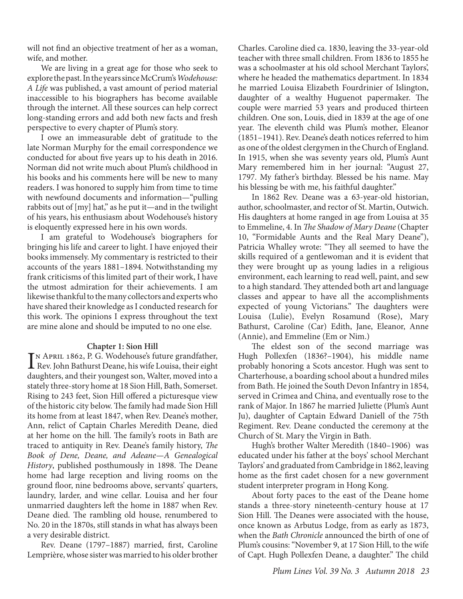will not find an objective treatment of her as a woman, wife, and mother.

We are living in a great age for those who seek to explore the past. In the years since McCrum's *Wodehouse: A Life* was published, a vast amount of period material inaccessible to his biographers has become available through the internet. All these sources can help correct long-standing errors and add both new facts and fresh perspective to every chapter of Plum's story.

I owe an immeasurable debt of gratitude to the late Norman Murphy for the email correspondence we conducted for about five years up to his death in 2016. Norman did not write much about Plum's childhood in his books and his comments here will be new to many readers. I was honored to supply him from time to time with newfound documents and information—"pulling rabbits out of [my] hat," as he put it—and in the twilight of his years, his enthusiasm about Wodehouse's history is eloquently expressed here in his own words.

I am grateful to Wodehouse's biographers for bringing his life and career to light. I have enjoyed their books immensely. My commentary is restricted to their accounts of the years 1881–1894. Notwithstanding my frank criticisms of this limited part of their work, I have the utmost admiration for their achievements. I am likewise thankful to the many collectors and experts who have shared their knowledge as I conducted research for this work. The opinions I express throughout the text are mine alone and should be imputed to no one else.

#### **Chapter 1: Sion Hill**

IN APRIL 1862, P. G. Wodehouse's future grandfather,<br>Rev. John Bathurst Deane, his wife Louisa, their eight Rev. John Bathurst Deane, his wife Louisa, their eight daughters, and their youngest son, Walter, moved into a stately three-story home at 18 Sion Hill, Bath, Somerset. Rising to 243 feet, Sion Hill offered a picturesque view of the historic city below. The family had made Sion Hill its home from at least 1847, when Rev. Deane's mother, Ann, relict of Captain Charles Meredith Deane, died at her home on the hill. The family's roots in Bath are traced to antiquity in Rev. Deane's family history, *The Book of Dene, Deane, and Adeane—A Genealogical History*, published posthumously in 1898. The Deane home had large reception and living rooms on the ground floor, nine bedrooms above, servants' quarters, laundry, larder, and wine cellar. Louisa and her four unmarried daughters left the home in 1887 when Rev. Deane died. The rambling old house, renumbered to No. 20 in the 1870s, still stands in what has always been a very desirable district.

Rev. Deane (1797–1887) married, first, Caroline Lemprière, whose sister was married to his older brother Charles. Caroline died ca. 1830, leaving the 33-year-old teacher with three small children. From 1836 to 1855 he was a schoolmaster at his old school Merchant Taylors', where he headed the mathematics department. In 1834 he married Louisa Elizabeth Fourdrinier of Islington, daughter of a wealthy Huguenot papermaker. The couple were married 53 years and produced thirteen children. One son, Louis, died in 1839 at the age of one year. The eleventh child was Plum's mother, Eleanor (1851–1941). Rev. Deane's death notices referred to him as one of the oldest clergymen in the Church of England. In 1915, when she was seventy years old, Plum's Aunt Mary remembered him in her journal: "August 27, 1797. My father's birthday. Blessed be his name. May his blessing be with me, his faithful daughter."

In 1862 Rev. Deane was a 63-year-old historian, author, schoolmaster, and rector of St. Martin, Outwich. His daughters at home ranged in age from Louisa at 35 to Emmeline, 4. In *The Shadow of Mary Deane* (Chapter 10, "Formidable Aunts and the Real Mary Deane"), Patricia Whalley wrote: "They all seemed to have the skills required of a gentlewoman and it is evident that they were brought up as young ladies in a religious environment, each learning to read well, paint, and sew to a high standard. They attended both art and language classes and appear to have all the accomplishments expected of young Victorians." The daughters were Louisa (Lulie), Evelyn Rosamund (Rose), Mary Bathurst, Caroline (Car) Edith, Jane, Eleanor, Anne (Annie), and Emmeline (Em or Nim.)

The eldest son of the second marriage was Hugh Pollexfen (1836?–1904), his middle name probably honoring a Scots ancestor. Hugh was sent to Charterhouse, a boarding school about a hundred miles from Bath. He joined the South Devon Infantry in 1854, served in Crimea and China, and eventually rose to the rank of Major. In 1867 he married Juliette (Plum's Aunt Ju), daughter of Captain Edward Daniell of the 75th Regiment. Rev. Deane conducted the ceremony at the Church of St. Mary the Virgin in Bath.

Hugh's brother Walter Meredith (1840–1906) was educated under his father at the boys' school Merchant Taylors' and graduated from Cambridge in 1862, leaving home as the first cadet chosen for a new government student interpreter program in Hong Kong.

About forty paces to the east of the Deane home stands a three-story nineteenth-century house at 17 Sion Hill. The Deanes were associated with the house, once known as Arbutus Lodge, from as early as 1873, when the *Bath Chronicle* announced the birth of one of Plum's cousins: "November 9, at 17 Sion Hill, to the wife of Capt. Hugh Pollexfen Deane, a daughter." The child